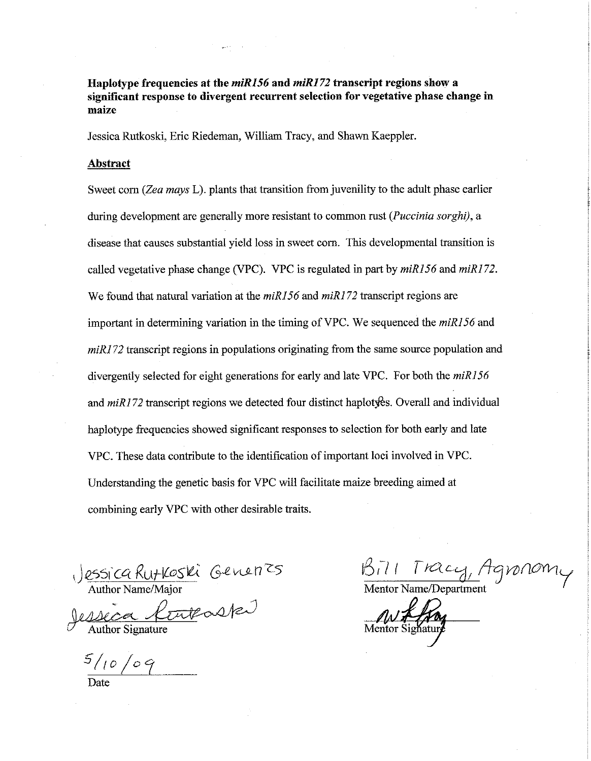Haplotype frequencies at the miR156 and miR172 transcript regions show a significant response to divergent recurrent selection for vegetative phase change in maize

Jessica Rutkoski, Eric Riedeman, William Tracy, and Shawn Kaeppler.

### Abstract

Sweet corn (Zea mays L). plants that transition from juvenility to the adult phase earlier during development are generally more resistant to common rust (*Puccinia sorghi*), a disease that causes substantial yield loss in sweet corn. This developmental transition is called vegetative phase change (VPC). VPC is regulated in part by miR156 and miR172. We found that natural variation at the  $miR156$  and  $miR172$  transcript regions are important in determining variation in the timing of VPC. We sequenced the *miR156* and  $miR172$  transcript regions in populations originating from the same source population and divergently selected for eight generations for early and late VPC. For both the miR156 and  $miR172$  transcript regions we detected four distinct haplotyes. Overall and individual happlotype frequencies showed significant responses to selection for both early and late VPC. These data contribute to the identification of important loci involved in VPC. Understanding the genetic basis for VPC will facilitate maize breeding aimed at combining early VPC with other desirable traits.

essica Rutkoski Generres<br>Author Name/Major<br>Alecca Centrale

Author Signature

 $5/10/09$ 

Bill Tracy, Agronomi Mentor Name/Department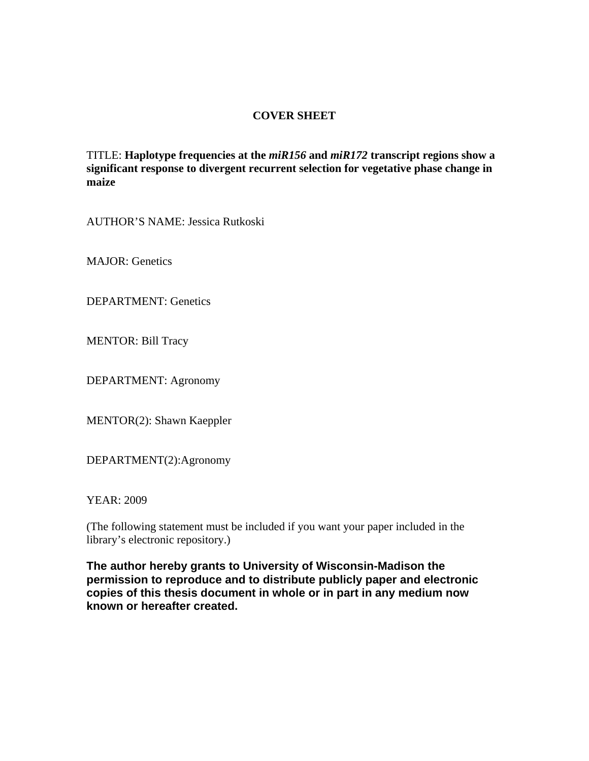# **COVER SHEET**

TITLE: **Haplotype frequencies at the** *miR156* **and** *miR172* **transcript regions show a significant response to divergent recurrent selection for vegetative phase change in maize**

AUTHOR'S NAME: Jessica Rutkoski

MAJOR: Genetics

DEPARTMENT: Genetics

MENTOR: Bill Tracy

DEPARTMENT: Agronomy

MENTOR(2): Shawn Kaeppler

DEPARTMENT(2):Agronomy

YEAR: 2009

(The following statement must be included if you want your paper included in the library's electronic repository.)

**The author hereby grants to University of Wisconsin-Madison the permission to reproduce and to distribute publicly paper and electronic copies of this thesis document in whole or in part in any medium now known or hereafter created.**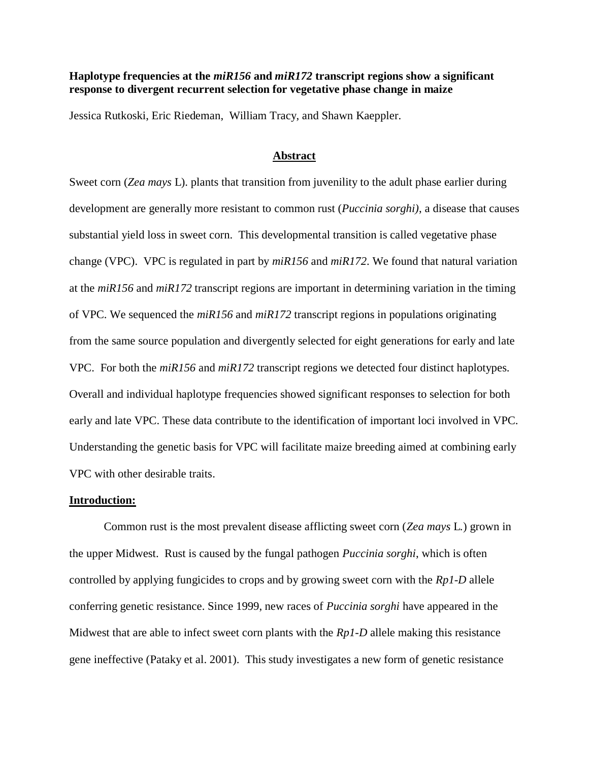## **Haplotype frequencies at the** *miR156* **and** *miR172* **transcript regions show a significant response to divergent recurrent selection for vegetative phase change in maize**

Jessica Rutkoski, Eric Riedeman, William Tracy, and Shawn Kaeppler.

### **Abstract**

Sweet corn (*Zea mays* L). plants that transition from juvenility to the adult phase earlier during development are generally more resistant to common rust (*Puccinia sorghi)*, a disease that causes substantial yield loss in sweet corn. This developmental transition is called vegetative phase change (VPC). VPC is regulated in part by *miR156* and *miR172*. We found that natural variation at the *miR156* and *miR172* transcript regions are important in determining variation in the timing of VPC. We sequenced the *miR156* and *miR172* transcript regions in populations originating from the same source population and divergently selected for eight generations for early and late VPC. For both the *miR156* and *miR172* transcript regions we detected four distinct haplotypes. Overall and individual haplotype frequencies showed significant responses to selection for both early and late VPC. These data contribute to the identification of important loci involved in VPC. Understanding the genetic basis for VPC will facilitate maize breeding aimed at combining early VPC with other desirable traits.

#### **Introduction:**

Common rust is the most prevalent disease afflicting sweet corn (*Zea mays* L*.*) grown in the upper Midwest. Rust is caused by the fungal pathogen *Puccinia sorghi*, which is often controlled by applying fungicides to crops and by growing sweet corn with the *Rp1-D* allele conferring genetic resistance. Since 1999, new races of *Puccinia sorghi* have appeared in the Midwest that are able to infect sweet corn plants with the *Rp1-D* allele making this resistance gene ineffective (Pataky et al. 2001). This study investigates a new form of genetic resistance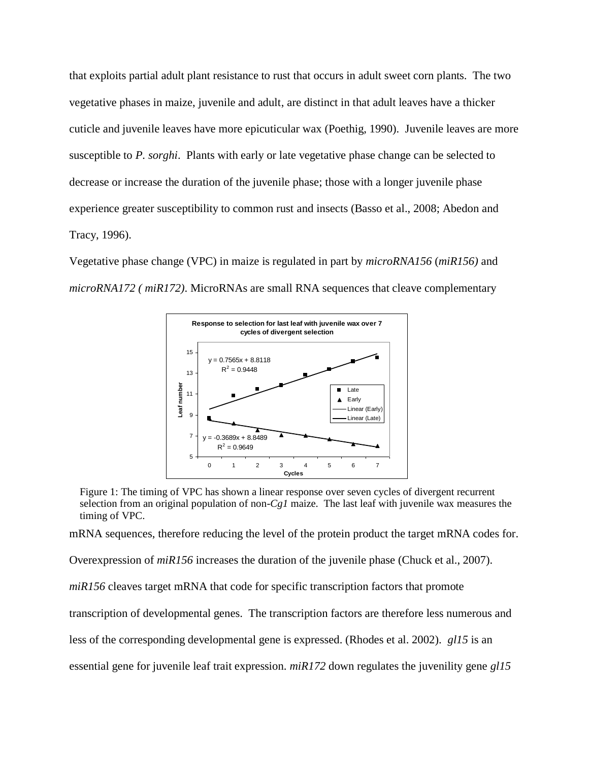that exploits partial adult plant resistance to rust that occurs in adult sweet corn plants. The two vegetative phases in maize, juvenile and adult, are distinct in that adult leaves have a thicker cuticle and juvenile leaves have more epicuticular wax (Poethig, 1990). Juvenile leaves are more susceptible to *P. sorghi*. Plants with early or late vegetative phase change can be selected to decrease or increase the duration of the juvenile phase; those with a longer juvenile phase experience greater susceptibility to common rust and insects (Basso et al., 2008; Abedon and Tracy, 1996).

Vegetative phase change (VPC) in maize is regulated in part by *microRNA156* (*miR156)* and *microRNA172 ( miR172)*. MicroRNAs are small RNA sequences that cleave complementary



Figure 1: The timing of VPC has shown a linear response over seven cycles of divergent recurrent selection from an original population of non-*Cg1* maize. The last leaf with juvenile wax measures the timing of VPC.

mRNA sequences, therefore reducing the level of the protein product the target mRNA codes for.

Overexpression of *miR156* increases the duration of the juvenile phase (Chuck et al., 2007).

*miR156* cleaves target mRNA that code for specific transcription factors that promote

transcription of developmental genes. The transcription factors are therefore less numerous and

less of the corresponding developmental gene is expressed. (Rhodes et al. 2002). *gl15* is an

essential gene for juvenile leaf trait expression. *miR172* down regulates the juvenility gene *gl15*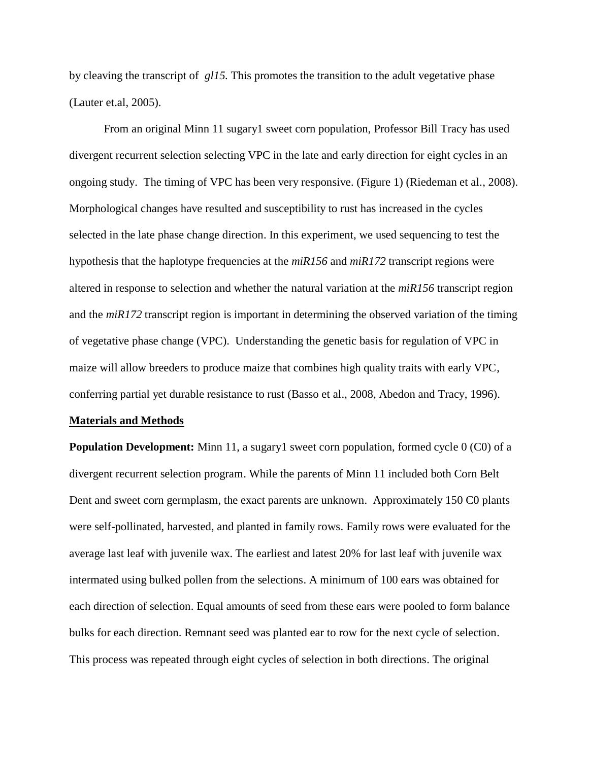by cleaving the transcript of *gl15.* This promotes the transition to the adult vegetative phase (Lauter et.al, 2005).

From an original Minn 11 sugary1 sweet corn population, Professor Bill Tracy has used divergent recurrent selection selecting VPC in the late and early direction for eight cycles in an ongoing study. The timing of VPC has been very responsive. (Figure 1) (Riedeman et al., 2008). Morphological changes have resulted and susceptibility to rust has increased in the cycles selected in the late phase change direction. In this experiment, we used sequencing to test the hypothesis that the haplotype frequencies at the *miR156* and *miR172* transcript regions were altered in response to selection and whether the natural variation at the *miR156* transcript region and the *miR172* transcript region is important in determining the observed variation of the timing of vegetative phase change (VPC). Understanding the genetic basis for regulation of VPC in maize will allow breeders to produce maize that combines high quality traits with early VPC, conferring partial yet durable resistance to rust (Basso et al., 2008, Abedon and Tracy, 1996).

#### **Materials and Methods**

**Population Development:** Minn 11, a sugary1 sweet corn population, formed cycle 0 (C0) of a divergent recurrent selection program. While the parents of Minn 11 included both Corn Belt Dent and sweet corn germplasm, the exact parents are unknown. Approximately 150 C0 plants were self-pollinated, harvested, and planted in family rows. Family rows were evaluated for the average last leaf with juvenile wax. The earliest and latest 20% for last leaf with juvenile wax intermated using bulked pollen from the selections. A minimum of 100 ears was obtained for each direction of selection. Equal amounts of seed from these ears were pooled to form balance bulks for each direction. Remnant seed was planted ear to row for the next cycle of selection. This process was repeated through eight cycles of selection in both directions. The original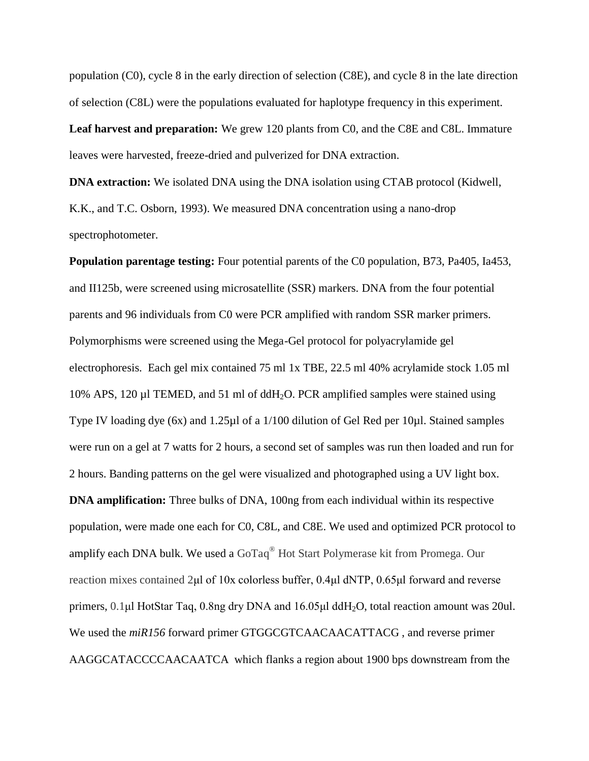population (C0), cycle 8 in the early direction of selection (C8E), and cycle 8 in the late direction of selection (C8L) were the populations evaluated for haplotype frequency in this experiment.

**Leaf harvest and preparation:** We grew 120 plants from C0, and the C8E and C8L. Immature leaves were harvested, freeze-dried and pulverized for DNA extraction.

**DNA extraction:** We isolated DNA using the DNA isolation using CTAB protocol (Kidwell, K.K., and T.C. Osborn, 1993). We measured DNA concentration using a nano-drop spectrophotometer.

**Population parentage testing:** Four potential parents of the C0 population, B73, Pa405, Ia453, and II125b, were screened using microsatellite (SSR) markers. DNA from the four potential parents and 96 individuals from C0 were PCR amplified with random SSR marker primers. Polymorphisms were screened using the Mega-Gel protocol for polyacrylamide gel electrophoresis. Each gel mix contained 75 ml 1x TBE, 22.5 ml 40% acrylamide stock 1.05 ml 10% APS, 120 µl TEMED, and 51 ml of ddH2O. PCR amplified samples were stained using Type IV loading dye (6x) and 1.25µl of a 1/100 dilution of Gel Red per 10µl. Stained samples were run on a gel at 7 watts for 2 hours, a second set of samples was run then loaded and run for 2 hours. Banding patterns on the gel were visualized and photographed using a UV light box. **DNA amplification:** Three bulks of DNA, 100ng from each individual within its respective population, were made one each for C0, C8L, and C8E. We used and optimized PCR protocol to amplify each DNA bulk. We used a GoTaq® Hot Start Polymerase kit from Promega. Our reaction mixes contained 2μl of 10x colorless buffer, 0.4μl dNTP, 0.65μl forward and reverse primers, 0.1μl HotStar Taq, 0.8ng dry DNA and 16.05μl ddH2O, total reaction amount was 20ul. We used the *miR156* forward primer GTGGCGTCAACAACATTACG , and reverse primer AAGGCATACCCCAACAATCA which flanks a region about 1900 bps downstream from the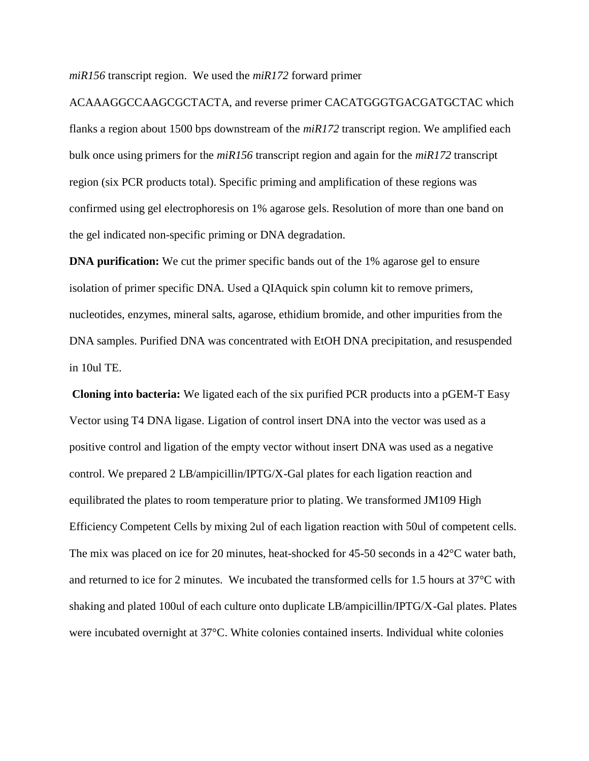*miR156* transcript region. We used the *miR172* forward primer

ACAAAGGCCAAGCGCTACTA, and reverse primer CACATGGGTGACGATGCTAC which flanks a region about 1500 bps downstream of the *miR172* transcript region. We amplified each bulk once using primers for the *miR156* transcript region and again for the *miR172* transcript region (six PCR products total). Specific priming and amplification of these regions was confirmed using gel electrophoresis on 1% agarose gels. Resolution of more than one band on the gel indicated non-specific priming or DNA degradation.

**DNA purification:** We cut the primer specific bands out of the 1% agarose gel to ensure isolation of primer specific DNA. Used a QIAquick spin column kit to remove primers, nucleotides, enzymes, mineral salts, agarose, ethidium bromide, and other impurities from the DNA samples. Purified DNA was concentrated with EtOH DNA precipitation, and resuspended in 10ul TE.

**Cloning into bacteria:** We ligated each of the six purified PCR products into a pGEM-T Easy Vector using T4 DNA ligase. Ligation of control insert DNA into the vector was used as a positive control and ligation of the empty vector without insert DNA was used as a negative control. We prepared 2 LB/ampicillin/IPTG/X-Gal plates for each ligation reaction and equilibrated the plates to room temperature prior to plating. We transformed JM109 High Efficiency Competent Cells by mixing 2ul of each ligation reaction with 50ul of competent cells. The mix was placed on ice for 20 minutes, heat-shocked for 45-50 seconds in a 42°C water bath, and returned to ice for 2 minutes. We incubated the transformed cells for 1.5 hours at 37°C with shaking and plated 100ul of each culture onto duplicate LB/ampicillin/IPTG/X-Gal plates. Plates were incubated overnight at 37°C. White colonies contained inserts. Individual white colonies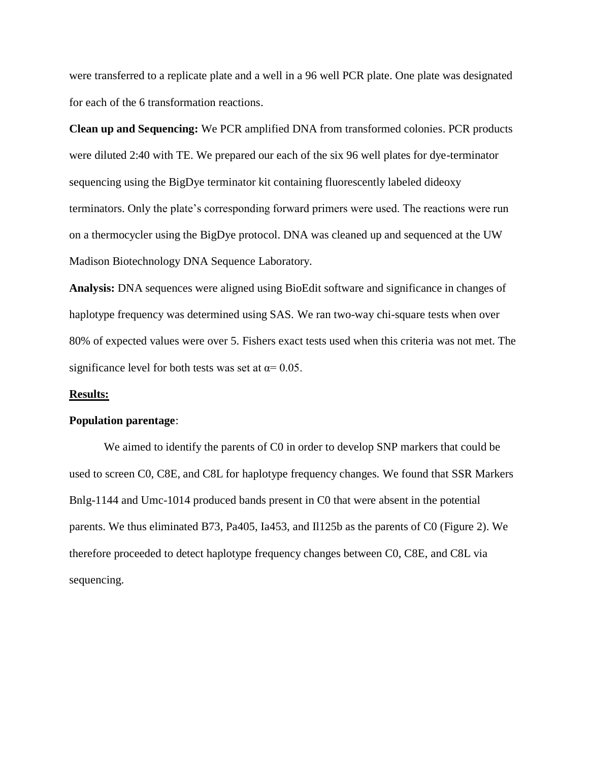were transferred to a replicate plate and a well in a 96 well PCR plate. One plate was designated for each of the 6 transformation reactions.

**Clean up and Sequencing:** We PCR amplified DNA from transformed colonies. PCR products were diluted 2:40 with TE. We prepared our each of the six 96 well plates for dye-terminator sequencing using the BigDye terminator kit containing fluorescently labeled dideoxy terminators. Only the plate's corresponding forward primers were used. The reactions were run on a thermocycler using the BigDye protocol. DNA was cleaned up and sequenced at the UW Madison Biotechnology DNA Sequence Laboratory.

**Analysis:** DNA sequences were aligned using BioEdit software and significance in changes of haplotype frequency was determined using SAS. We ran two-way chi-square tests when over 80% of expected values were over 5. Fishers exact tests used when this criteria was not met. The significance level for both tests was set at  $\alpha$ = 0.05.

## **Results:**

### **Population parentage**:

We aimed to identify the parents of C0 in order to develop SNP markers that could be used to screen C0, C8E, and C8L for haplotype frequency changes. We found that SSR Markers Bnlg-1144 and Umc-1014 produced bands present in C0 that were absent in the potential parents. We thus eliminated B73, Pa405, Ia453, and Il125b as the parents of C0 (Figure 2). We therefore proceeded to detect haplotype frequency changes between C0, C8E, and C8L via sequencing.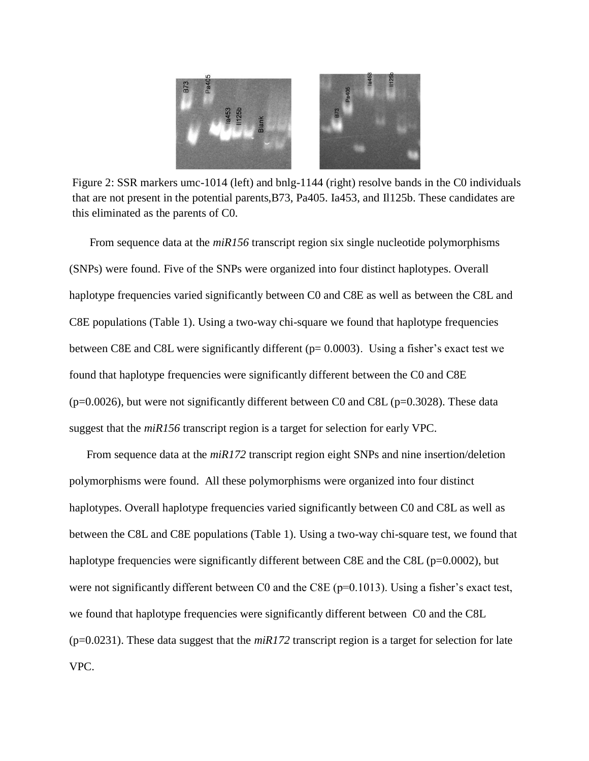

this eliminated as the parents of C0. Figure 2: SSR markers umc-1014 (left) and bnlg-1144 (right) resolve bands in the C0 individuals that are not present in the potential parents,B73, Pa405. Ia453, and Il125b. These candidates are

From sequence data at the *miR156* transcript region six single nucleotide polymorphisms (SNPs) were found. Five of the SNPs were organized into four distinct haplotypes. Overall haplotype frequencies varied significantly between C0 and C8E as well as between the C8L and C8E populations (Table 1). Using a two-way chi-square we found that haplotype frequencies between C8E and C8L were significantly different (p= 0.0003). Using a fisher's exact test we found that haplotype frequencies were significantly different between the C0 and C8E  $(p=0.0026)$ , but were not significantly different between C0 and C8L ( $p=0.3028$ ). These data suggest that the *miR156* transcript region is a target for selection for early VPC.

From sequence data at the *miR172* transcript region eight SNPs and nine insertion/deletion polymorphisms were found. All these polymorphisms were organized into four distinct haplotypes. Overall haplotype frequencies varied significantly between C0 and C8L as well as between the C8L and C8E populations (Table 1). Using a two-way chi-square test, we found that haplotype frequencies were significantly different between C8E and the C8L (p=0.0002), but were not significantly different between C0 and the C8E (p=0.1013). Using a fisher's exact test, we found that haplotype frequencies were significantly different between C0 and the C8L  $(p=0.0231)$ . These data suggest that the  $miR172$  transcript region is a target for selection for late VPC.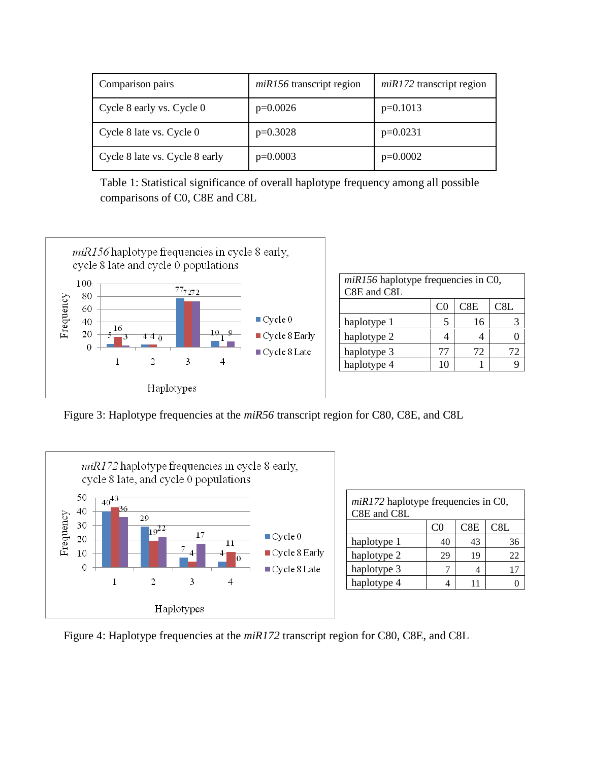| Comparison pairs               | $miR156$ transcript region | $miR172$ transcript region |
|--------------------------------|----------------------------|----------------------------|
| Cycle 8 early vs. Cycle 0      | $p=0.0026$                 | $p=0.1013$                 |
| Cycle 8 late vs. Cycle 0       | $p=0.3028$                 | $p=0.0231$                 |
| Cycle 8 late vs. Cycle 8 early | $p=0.0003$                 | $p=0.0002$                 |

Table 1: Statistical significance of overall haplotype frequency among all possible comparisons of C0, C8E and C8L



| $miR156$ haplotype frequencies in C0,<br>C8E and C8L |     |     |     |
|------------------------------------------------------|-----|-----|-----|
|                                                      | CO) | C8E | C8L |
| haplotype 1                                          |     | 16  |     |
| haplotype 2                                          |     |     |     |
| haplotype 3                                          | 77  | 72  | 72  |
| haplotype 4                                          | 10  |     |     |

Figure 3: Haplotype frequencies at the *miR56* transcript region for C80, C8E, and C8L



| $miR172$ haplotype frequencies in C0,<br>C8E and C8L |                |     |     |
|------------------------------------------------------|----------------|-----|-----|
|                                                      | C <sub>0</sub> | C8E | C8L |
| haplotype 1                                          | 40             | 43  | 36  |
| haplotype 2                                          | 29             | 19  | 22  |
| haplotype 3                                          |                |     |     |
| haplotype 4                                          |                | 11  |     |

Figure 4: Haplotype frequencies at the *miR172* transcript region for C80, C8E, and C8L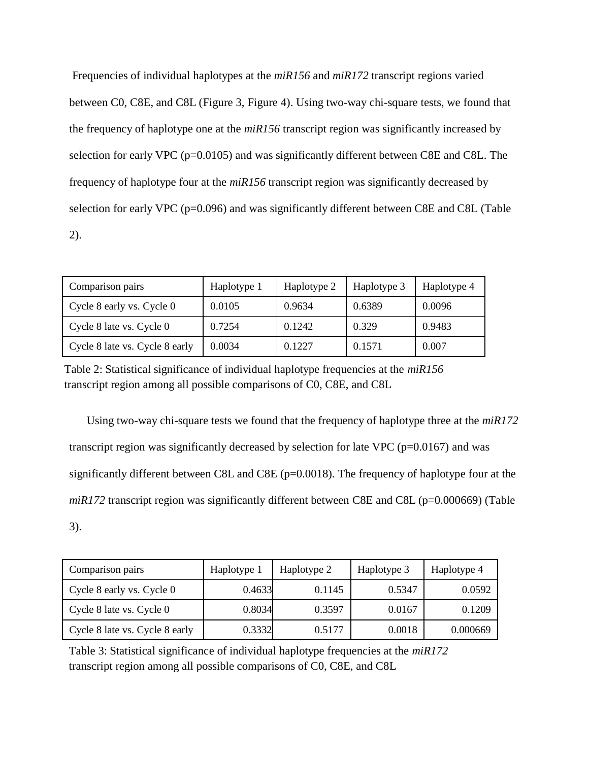Frequencies of individual haplotypes at the *miR156* and *miR172* transcript regions varied between C0, C8E, and C8L (Figure 3, Figure 4). Using two-way chi-square tests, we found that the frequency of haplotype one at the *miR156* transcript region was significantly increased by selection for early VPC (p=0.0105) and was significantly different between C8E and C8L. The frequency of haplotype four at the *miR156* transcript region was significantly decreased by selection for early VPC (p=0.096) and was significantly different between C8E and C8L (Table 2).

| Comparison pairs               | Haplotype 1 | Haplotype 2 | Haplotype 3 | Haplotype 4 |
|--------------------------------|-------------|-------------|-------------|-------------|
| Cycle 8 early vs. Cycle 0      | 0.0105      | 0.9634      | 0.6389      | 0.0096      |
| Cycle 8 late vs. Cycle 0       | 0.7254      | 0.1242      | 0.329       | 0.9483      |
| Cycle 8 late vs. Cycle 8 early | 0.0034      | 0.1227      | 0.1571      | 0.007       |

Table 2: Statistical significance of individual haplotype frequencies at the *miR156*  transcript region among all possible comparisons of C0, C8E, and C8L

Using two-way chi-square tests we found that the frequency of haplotype three at the *miR172* transcript region was significantly decreased by selection for late VPC ( $p=0.0167$ ) and was significantly different between C8L and C8E (p=0.0018). The frequency of haplotype four at the *miR172* transcript region was significantly different between C8E and C8L (p=0.000669) (Table 3).

| Comparison pairs               | Haplotype 1 | Haplotype 2 | Haplotype 3 | Haplotype 4 |
|--------------------------------|-------------|-------------|-------------|-------------|
| Cycle 8 early vs. Cycle 0      | 0.4633      | 0.1145      | 0.5347      | 0.0592      |
| Cycle 8 late vs. Cycle 0       | 0.8034      | 0.3597      | 0.0167      | 0.1209      |
| Cycle 8 late vs. Cycle 8 early | 0.3332      | 0.5177      | 0.0018      | 0.000669    |

Table 3: Statistical significance of individual haplotype frequencies at the *miR172* transcript region among all possible comparisons of C0, C8E, and C8L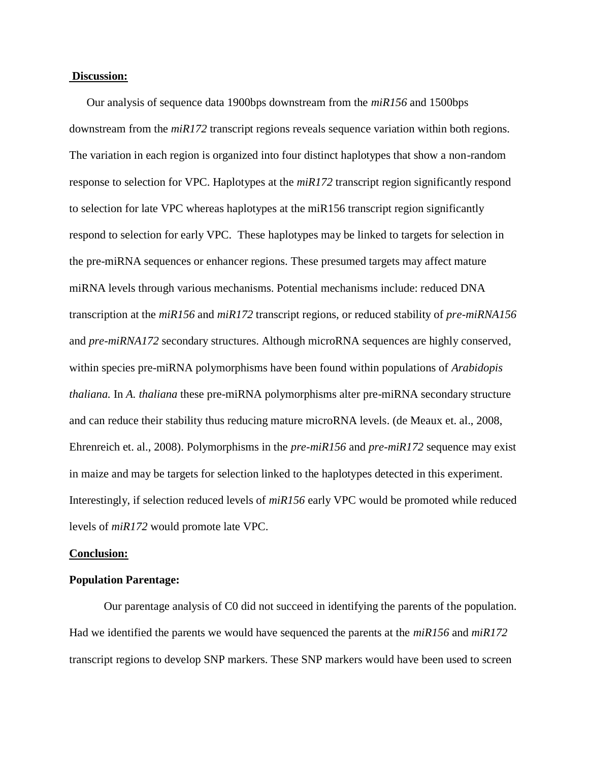### **Discussion:**

Our analysis of sequence data 1900bps downstream from the *miR156* and 1500bps downstream from the *miR172* transcript regions reveals sequence variation within both regions. The variation in each region is organized into four distinct haplotypes that show a non-random response to selection for VPC. Haplotypes at the *miR172* transcript region significantly respond to selection for late VPC whereas haplotypes at the miR156 transcript region significantly respond to selection for early VPC. These haplotypes may be linked to targets for selection in the pre-miRNA sequences or enhancer regions. These presumed targets may affect mature miRNA levels through various mechanisms. Potential mechanisms include: reduced DNA transcription at the *miR156* and *miR172* transcript regions, or reduced stability of *pre-miRNA156* and *pre-miRNA172* secondary structures. Although microRNA sequences are highly conserved, within species pre-miRNA polymorphisms have been found within populations of *Arabidopis thaliana.* In *A. thaliana* these pre-miRNA polymorphisms alter pre-miRNA secondary structure and can reduce their stability thus reducing mature microRNA levels. (de Meaux et. al., 2008, Ehrenreich et. al., 2008). Polymorphisms in the *pre-miR156* and *pre-miR172* sequence may exist in maize and may be targets for selection linked to the haplotypes detected in this experiment. Interestingly, if selection reduced levels of *miR156* early VPC would be promoted while reduced levels of *miR172* would promote late VPC.

#### **Conclusion:**

## **Population Parentage:**

Our parentage analysis of C0 did not succeed in identifying the parents of the population. Had we identified the parents we would have sequenced the parents at the *miR156* and *miR172* transcript regions to develop SNP markers. These SNP markers would have been used to screen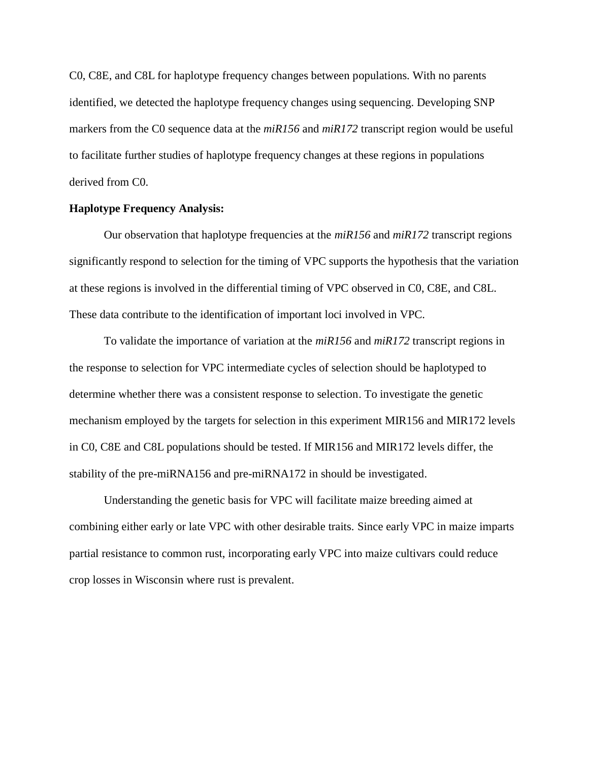C0, C8E, and C8L for haplotype frequency changes between populations. With no parents identified, we detected the haplotype frequency changes using sequencing. Developing SNP markers from the C0 sequence data at the *miR156* and *miR172* transcript region would be useful to facilitate further studies of haplotype frequency changes at these regions in populations derived from C0.

## **Haplotype Frequency Analysis:**

Our observation that haplotype frequencies at the *miR156* and *miR172* transcript regions significantly respond to selection for the timing of VPC supports the hypothesis that the variation at these regions is involved in the differential timing of VPC observed in C0, C8E, and C8L. These data contribute to the identification of important loci involved in VPC.

To validate the importance of variation at the *miR156* and *miR172* transcript regions in the response to selection for VPC intermediate cycles of selection should be haplotyped to determine whether there was a consistent response to selection. To investigate the genetic mechanism employed by the targets for selection in this experiment MIR156 and MIR172 levels in C0, C8E and C8L populations should be tested. If MIR156 and MIR172 levels differ, the stability of the pre-miRNA156 and pre-miRNA172 in should be investigated.

Understanding the genetic basis for VPC will facilitate maize breeding aimed at combining either early or late VPC with other desirable traits. Since early VPC in maize imparts partial resistance to common rust, incorporating early VPC into maize cultivars could reduce crop losses in Wisconsin where rust is prevalent.